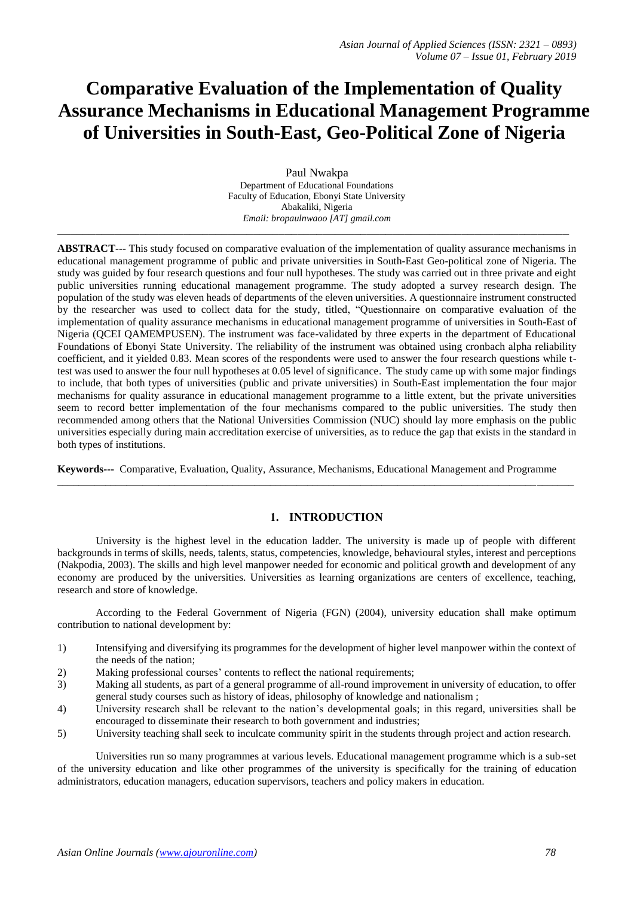# **Comparative Evaluation of the Implementation of Quality Assurance Mechanisms in Educational Management Programme of Universities in South-East, Geo-Political Zone of Nigeria**

Paul Nwakpa Department of Educational Foundations Faculty of Education, Ebonyi State University Abakaliki, Nigeria *Email: bropaulnwaoo [AT] gmail.com* **\_\_\_\_\_\_\_\_\_\_\_\_\_\_\_\_\_\_\_\_\_\_\_\_\_\_\_\_\_\_\_\_\_\_\_\_\_\_\_\_\_\_\_\_\_\_\_\_\_\_\_\_\_\_\_\_\_\_\_\_\_\_\_\_\_\_\_\_\_\_\_\_\_\_\_\_\_\_\_\_\_**

**ABSTRACT---** This study focused on comparative evaluation of the implementation of quality assurance mechanisms in educational management programme of public and private universities in South-East Geo-political zone of Nigeria. The study was guided by four research questions and four null hypotheses. The study was carried out in three private and eight public universities running educational management programme. The study adopted a survey research design. The population of the study was eleven heads of departments of the eleven universities. A questionnaire instrument constructed by the researcher was used to collect data for the study, titled, "Questionnaire on comparative evaluation of the implementation of quality assurance mechanisms in educational management programme of universities in South-East of Nigeria (QCEI QAMEMPUSEN). The instrument was face-validated by three experts in the department of Educational Foundations of Ebonyi State University. The reliability of the instrument was obtained using cronbach alpha reliability coefficient, and it yielded 0.83. Mean scores of the respondents were used to answer the four research questions while ttest was used to answer the four null hypotheses at 0.05 level of significance. The study came up with some major findings to include, that both types of universities (public and private universities) in South-East implementation the four major mechanisms for quality assurance in educational management programme to a little extent, but the private universities seem to record better implementation of the four mechanisms compared to the public universities. The study then recommended among others that the National Universities Commission (NUC) should lay more emphasis on the public universities especially during main accreditation exercise of universities, as to reduce the gap that exists in the standard in both types of institutions.

**Keywords---** Comparative, Evaluation, Quality, Assurance, Mechanisms, Educational Management and Programme  $\_$  ,  $\_$  ,  $\_$  ,  $\_$  ,  $\_$  ,  $\_$  ,  $\_$  ,  $\_$  ,  $\_$  ,  $\_$  ,  $\_$  ,  $\_$  ,  $\_$  ,  $\_$  ,  $\_$  ,  $\_$  ,  $\_$  ,  $\_$  ,  $\_$  ,  $\_$  ,  $\_$  ,  $\_$  ,  $\_$  ,  $\_$  ,  $\_$  ,  $\_$  ,  $\_$  ,  $\_$  ,  $\_$  ,  $\_$  ,  $\_$  ,  $\_$  ,  $\_$  ,  $\_$  ,  $\_$  ,  $\_$  ,  $\_$  ,

# **1. INTRODUCTION**

University is the highest level in the education ladder. The university is made up of people with different backgrounds in terms of skills, needs, talents, status, competencies, knowledge, behavioural styles, interest and perceptions (Nakpodia, 2003). The skills and high level manpower needed for economic and political growth and development of any economy are produced by the universities. Universities as learning organizations are centers of excellence, teaching, research and store of knowledge.

According to the Federal Government of Nigeria (FGN) (2004), university education shall make optimum contribution to national development by:

- 1) Intensifying and diversifying its programmes for the development of higher level manpower within the context of the needs of the nation;
- 2) Making professional courses' contents to reflect the national requirements;
- 3) Making all students, as part of a general programme of all-round improvement in university of education, to offer general study courses such as history of ideas, philosophy of knowledge and nationalism ;
- 4) University research shall be relevant to the nation's developmental goals; in this regard, universities shall be encouraged to disseminate their research to both government and industries;
- 5) University teaching shall seek to inculcate community spirit in the students through project and action research.

Universities run so many programmes at various levels. Educational management programme which is a sub-set of the university education and like other programmes of the university is specifically for the training of education administrators, education managers, education supervisors, teachers and policy makers in education.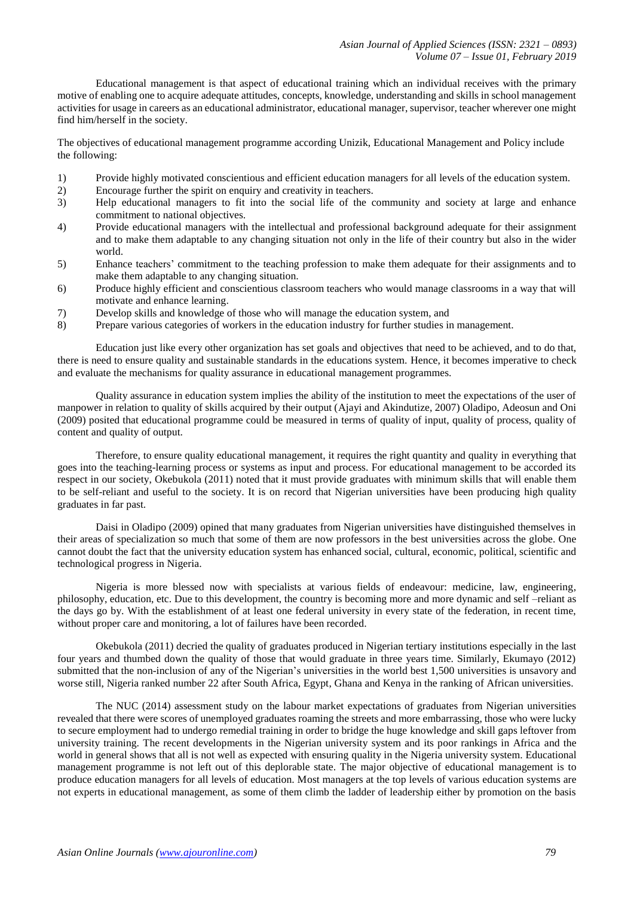Educational management is that aspect of educational training which an individual receives with the primary motive of enabling one to acquire adequate attitudes, concepts, knowledge, understanding and skills in school management activities for usage in careers as an educational administrator, educational manager, supervisor, teacher wherever one might find him/herself in the society.

The objectives of educational management programme according Unizik, Educational Management and Policy include the following:

- 1) Provide highly motivated conscientious and efficient education managers for all levels of the education system.
- 2) Encourage further the spirit on enquiry and creativity in teachers.
- 3) Help educational managers to fit into the social life of the community and society at large and enhance commitment to national objectives.
- 4) Provide educational managers with the intellectual and professional background adequate for their assignment and to make them adaptable to any changing situation not only in the life of their country but also in the wider world.
- 5) Enhance teachers' commitment to the teaching profession to make them adequate for their assignments and to make them adaptable to any changing situation.
- 6) Produce highly efficient and conscientious classroom teachers who would manage classrooms in a way that will motivate and enhance learning.
- 7) Develop skills and knowledge of those who will manage the education system, and
- 8) Prepare various categories of workers in the education industry for further studies in management.

Education just like every other organization has set goals and objectives that need to be achieved, and to do that, there is need to ensure quality and sustainable standards in the educations system. Hence, it becomes imperative to check and evaluate the mechanisms for quality assurance in educational management programmes.

Quality assurance in education system implies the ability of the institution to meet the expectations of the user of manpower in relation to quality of skills acquired by their output (Ajayi and Akindutize, 2007) Oladipo, Adeosun and Oni (2009) posited that educational programme could be measured in terms of quality of input, quality of process, quality of content and quality of output.

Therefore, to ensure quality educational management, it requires the right quantity and quality in everything that goes into the teaching-learning process or systems as input and process. For educational management to be accorded its respect in our society, Okebukola (2011) noted that it must provide graduates with minimum skills that will enable them to be self-reliant and useful to the society. It is on record that Nigerian universities have been producing high quality graduates in far past.

Daisi in Oladipo (2009) opined that many graduates from Nigerian universities have distinguished themselves in their areas of specialization so much that some of them are now professors in the best universities across the globe. One cannot doubt the fact that the university education system has enhanced social, cultural, economic, political, scientific and technological progress in Nigeria.

Nigeria is more blessed now with specialists at various fields of endeavour: medicine, law, engineering, philosophy, education, etc. Due to this development, the country is becoming more and more dynamic and self –reliant as the days go by. With the establishment of at least one federal university in every state of the federation, in recent time, without proper care and monitoring, a lot of failures have been recorded.

Okebukola (2011) decried the quality of graduates produced in Nigerian tertiary institutions especially in the last four years and thumbed down the quality of those that would graduate in three years time. Similarly, Ekumayo (2012) submitted that the non-inclusion of any of the Nigerian's universities in the world best 1,500 universities is unsavory and worse still, Nigeria ranked number 22 after South Africa, Egypt, Ghana and Kenya in the ranking of African universities.

The NUC (2014) assessment study on the labour market expectations of graduates from Nigerian universities revealed that there were scores of unemployed graduates roaming the streets and more embarrassing, those who were lucky to secure employment had to undergo remedial training in order to bridge the huge knowledge and skill gaps leftover from university training. The recent developments in the Nigerian university system and its poor rankings in Africa and the world in general shows that all is not well as expected with ensuring quality in the Nigeria university system. Educational management programme is not left out of this deplorable state. The major objective of educational management is to produce education managers for all levels of education. Most managers at the top levels of various education systems are not experts in educational management, as some of them climb the ladder of leadership either by promotion on the basis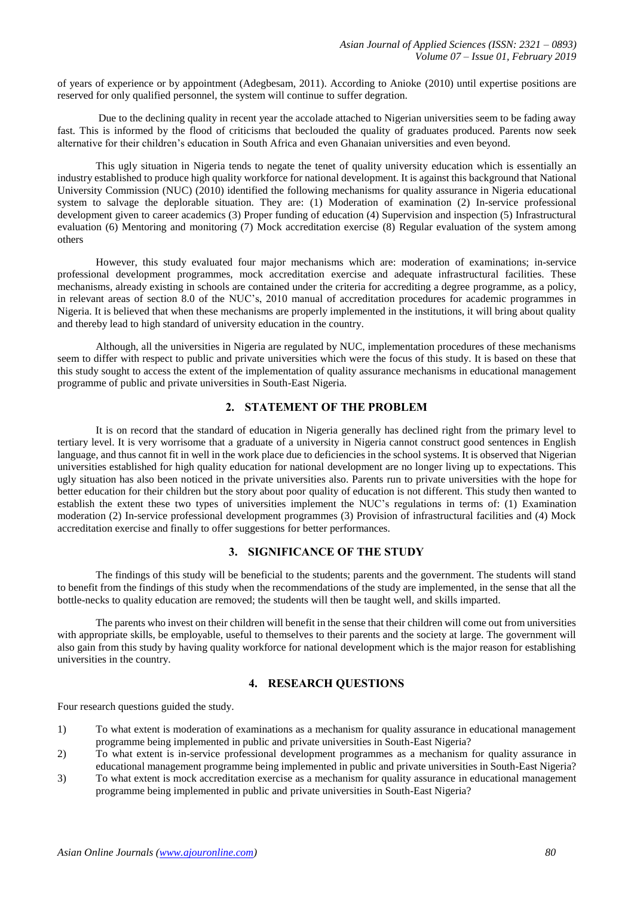of years of experience or by appointment (Adegbesam, 2011). According to Anioke (2010) until expertise positions are reserved for only qualified personnel, the system will continue to suffer degration.

Due to the declining quality in recent year the accolade attached to Nigerian universities seem to be fading away fast. This is informed by the flood of criticisms that beclouded the quality of graduates produced. Parents now seek alternative for their children's education in South Africa and even Ghanaian universities and even beyond.

This ugly situation in Nigeria tends to negate the tenet of quality university education which is essentially an industry established to produce high quality workforce for national development. It is against this background that National University Commission (NUC) (2010) identified the following mechanisms for quality assurance in Nigeria educational system to salvage the deplorable situation. They are: (1) Moderation of examination (2) In-service professional development given to career academics (3) Proper funding of education (4) Supervision and inspection (5) Infrastructural evaluation (6) Mentoring and monitoring (7) Mock accreditation exercise (8) Regular evaluation of the system among others

However, this study evaluated four major mechanisms which are: moderation of examinations; in-service professional development programmes, mock accreditation exercise and adequate infrastructural facilities. These mechanisms, already existing in schools are contained under the criteria for accrediting a degree programme, as a policy, in relevant areas of section 8.0 of the NUC's, 2010 manual of accreditation procedures for academic programmes in Nigeria. It is believed that when these mechanisms are properly implemented in the institutions, it will bring about quality and thereby lead to high standard of university education in the country.

Although, all the universities in Nigeria are regulated by NUC, implementation procedures of these mechanisms seem to differ with respect to public and private universities which were the focus of this study. It is based on these that this study sought to access the extent of the implementation of quality assurance mechanisms in educational management programme of public and private universities in South-East Nigeria.

# **2. STATEMENT OF THE PROBLEM**

It is on record that the standard of education in Nigeria generally has declined right from the primary level to tertiary level. It is very worrisome that a graduate of a university in Nigeria cannot construct good sentences in English language, and thus cannot fit in well in the work place due to deficiencies in the school systems. It is observed that Nigerian universities established for high quality education for national development are no longer living up to expectations. This ugly situation has also been noticed in the private universities also. Parents run to private universities with the hope for better education for their children but the story about poor quality of education is not different. This study then wanted to establish the extent these two types of universities implement the NUC's regulations in terms of: (1) Examination moderation (2) In-service professional development programmes (3) Provision of infrastructural facilities and (4) Mock accreditation exercise and finally to offer suggestions for better performances.

# **3. SIGNIFICANCE OF THE STUDY**

The findings of this study will be beneficial to the students; parents and the government. The students will stand to benefit from the findings of this study when the recommendations of the study are implemented, in the sense that all the bottle-necks to quality education are removed; the students will then be taught well, and skills imparted.

The parents who invest on their children will benefit in the sense that their children will come out from universities with appropriate skills, be employable, useful to themselves to their parents and the society at large. The government will also gain from this study by having quality workforce for national development which is the major reason for establishing universities in the country.

## **4. RESEARCH QUESTIONS**

Four research questions guided the study.

- 1) To what extent is moderation of examinations as a mechanism for quality assurance in educational management programme being implemented in public and private universities in South-East Nigeria?
- 2) To what extent is in-service professional development programmes as a mechanism for quality assurance in educational management programme being implemented in public and private universities in South-East Nigeria?
- 3) To what extent is mock accreditation exercise as a mechanism for quality assurance in educational management programme being implemented in public and private universities in South-East Nigeria?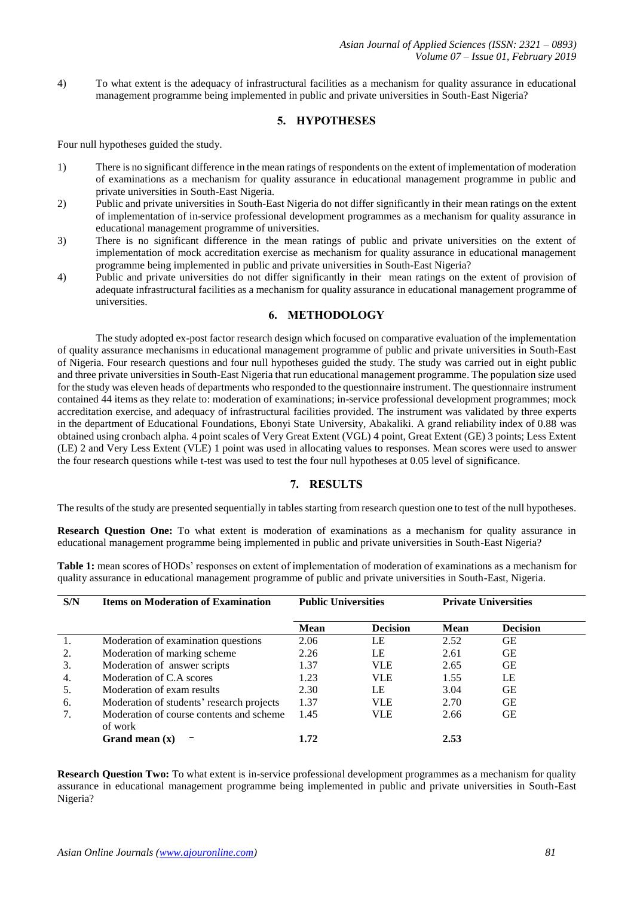4) To what extent is the adequacy of infrastructural facilities as a mechanism for quality assurance in educational management programme being implemented in public and private universities in South-East Nigeria?

# **5. HYPOTHESES**

Four null hypotheses guided the study.

- 1) There is no significant difference in the mean ratings of respondents on the extent of implementation of moderation of examinations as a mechanism for quality assurance in educational management programme in public and private universities in South-East Nigeria.
- 2) Public and private universities in South-East Nigeria do not differ significantly in their mean ratings on the extent of implementation of in-service professional development programmes as a mechanism for quality assurance in educational management programme of universities.
- 3) There is no significant difference in the mean ratings of public and private universities on the extent of implementation of mock accreditation exercise as mechanism for quality assurance in educational management programme being implemented in public and private universities in South-East Nigeria?
- 4) Public and private universities do not differ significantly in their mean ratings on the extent of provision of adequate infrastructural facilities as a mechanism for quality assurance in educational management programme of universities.

# **6. METHODOLOGY**

The study adopted ex-post factor research design which focused on comparative evaluation of the implementation of quality assurance mechanisms in educational management programme of public and private universities in South-East of Nigeria. Four research questions and four null hypotheses guided the study. The study was carried out in eight public and three private universities in South-East Nigeria that run educational management programme. The population size used for the study was eleven heads of departments who responded to the questionnaire instrument. The questionnaire instrument contained 44 items as they relate to: moderation of examinations; in-service professional development programmes; mock accreditation exercise, and adequacy of infrastructural facilities provided. The instrument was validated by three experts in the department of Educational Foundations, Ebonyi State University, Abakaliki. A grand reliability index of 0.88 was obtained using cronbach alpha. 4 point scales of Very Great Extent (VGL) 4 point, Great Extent (GE) 3 points; Less Extent (LE) 2 and Very Less Extent (VLE) 1 point was used in allocating values to responses. Mean scores were used to answer the four research questions while t-test was used to test the four null hypotheses at 0.05 level of significance.

# **7. RESULTS**

The results of the study are presented sequentially in tables starting from research question one to test of the null hypotheses.

**Research Question One:** To what extent is moderation of examinations as a mechanism for quality assurance in educational management programme being implemented in public and private universities in South-East Nigeria?

**Table 1:** mean scores of HODs' responses on extent of implementation of moderation of examinations as a mechanism for quality assurance in educational management programme of public and private universities in South-East, Nigeria.

| S/N | <b>Items on Moderation of Examination</b>           | <b>Public Universities</b> |                 |             | <b>Private Universities</b> |  |
|-----|-----------------------------------------------------|----------------------------|-----------------|-------------|-----------------------------|--|
|     |                                                     | <b>Mean</b>                | <b>Decision</b> | <b>Mean</b> | <b>Decision</b>             |  |
| 1.  | Moderation of examination questions                 | 2.06                       | LE              | 2.52        | GЕ                          |  |
| 2.  | Moderation of marking scheme                        | 2.26                       | LE              | 2.61        | GЕ                          |  |
| 3.  | Moderation of answer scripts                        | 1.37                       | <b>VLE</b>      | 2.65        | GЕ                          |  |
| 4.  | Moderation of C.A scores                            | 1.23                       | VLE.            | 1.55        | LE                          |  |
| 5.  | Moderation of exam results                          | 2.30                       | LE              | 3.04        | GЕ                          |  |
| 6.  | Moderation of students' research projects           | 1.37                       | VLE.            | 2.70        | GЕ                          |  |
| 7.  | Moderation of course contents and scheme<br>of work | 1.45                       | <b>VLE</b>      | 2.66        | GЕ                          |  |
|     | Grand mean $(x)$                                    | 1.72                       |                 | 2.53        |                             |  |

**Research Question Two:** To what extent is in-service professional development programmes as a mechanism for quality assurance in educational management programme being implemented in public and private universities in South-East Nigeria?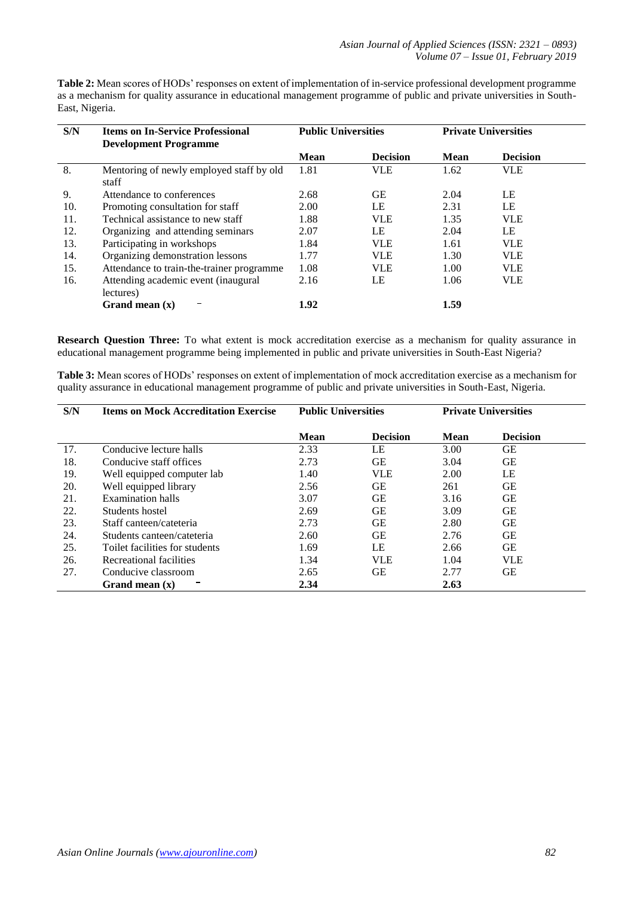**Table 2:** Mean scores of HODs' responses on extent of implementation of in-service professional development programme as a mechanism for quality assurance in educational management programme of public and private universities in South-East, Nigeria.

| S/N | <b>Items on In-Service Professional</b><br><b>Development Programme</b> | <b>Public Universities</b> |                 |             | <b>Private Universities</b> |
|-----|-------------------------------------------------------------------------|----------------------------|-----------------|-------------|-----------------------------|
|     |                                                                         | <b>Mean</b>                | <b>Decision</b> | <b>Mean</b> | <b>Decision</b>             |
| 8.  | Mentoring of newly employed staff by old<br>staff                       | 1.81                       | VLE             | 1.62        | <b>VLE</b>                  |
| 9.  | Attendance to conferences                                               | 2.68                       | GЕ              | 2.04        | LE                          |
| 10. | Promoting consultation for staff                                        | 2.00                       | LE              | 2.31        | LE                          |
| 11. | Technical assistance to new staff                                       | 1.88                       | <b>VLE</b>      | 1.35        | <b>VLE</b>                  |
| 12. | Organizing and attending seminars                                       | 2.07                       | LE              | 2.04        | LE                          |
| 13. | Participating in workshops                                              | 1.84                       | <b>VLE</b>      | 1.61        | <b>VLE</b>                  |
| 14. | Organizing demonstration lessons                                        | 1.77                       | <b>VLE</b>      | 1.30        | <b>VLE</b>                  |
| 15. | Attendance to train-the-trainer programme                               | 1.08                       | <b>VLE</b>      | 1.00        | <b>VLE</b>                  |
| 16. | Attending academic event (inaugural<br>lectures)                        | 2.16                       | LE              | 1.06        | <b>VLE</b>                  |
|     | Grand mean $(x)$                                                        | 1.92                       |                 | 1.59        |                             |

**Research Question Three:** To what extent is mock accreditation exercise as a mechanism for quality assurance in educational management programme being implemented in public and private universities in South-East Nigeria?

**Table 3:** Mean scores of HODs' responses on extent of implementation of mock accreditation exercise as a mechanism for quality assurance in educational management programme of public and private universities in South-East, Nigeria.

| S/N | <b>Items on Mock Accreditation Exercise</b> | <b>Public Universities</b> |                 | <b>Private Universities</b> |                 |
|-----|---------------------------------------------|----------------------------|-----------------|-----------------------------|-----------------|
|     |                                             | <b>Mean</b>                | <b>Decision</b> | <b>Mean</b>                 | <b>Decision</b> |
| 17. | Conducive lecture halls                     | 2.33                       | LE              | 3.00                        | <b>GE</b>       |
| 18. | Conducive staff offices                     | 2.73                       | GЕ              | 3.04                        | GЕ              |
| 19. | Well equipped computer lab                  | 1.40                       | <b>VLE</b>      | 2.00                        | LE              |
| 20. | Well equipped library                       | 2.56                       | GЕ              | 261                         | <b>GE</b>       |
| 21. | Examination halls                           | 3.07                       | GЕ              | 3.16                        | GE              |
| 22. | Students hostel                             | 2.69                       | GЕ              | 3.09                        | GЕ              |
| 23. | Staff canteen/cateteria                     | 2.73                       | GЕ              | 2.80                        | <b>GE</b>       |
| 24. | Students canteen/cateteria                  | 2.60                       | GЕ              | 2.76                        | <b>GE</b>       |
| 25. | Toilet facilities for students              | 1.69                       | LE              | 2.66                        | GЕ              |
| 26. | Recreational facilities                     | 1.34                       | <b>VLE</b>      | 1.04                        | <b>VLE</b>      |
| 27. | Conducive classroom                         | 2.65                       | GЕ              | 2.77                        | GЕ              |
|     | Grand mean $(x)$                            | 2.34                       |                 | 2.63                        |                 |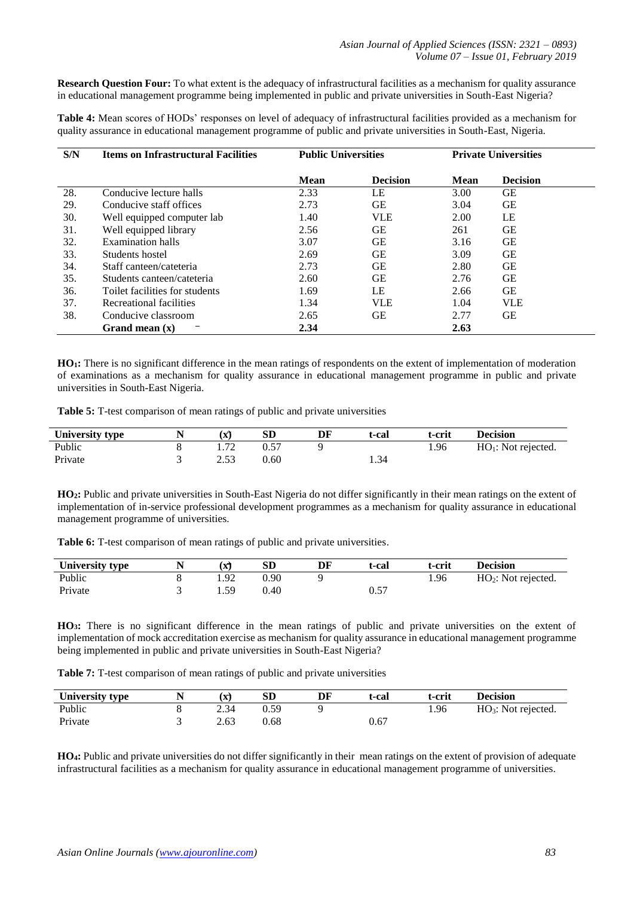**Research Question Four:** To what extent is the adequacy of infrastructural facilities as a mechanism for quality assurance in educational management programme being implemented in public and private universities in South-East Nigeria?

**Table 4:** Mean scores of HODs' responses on level of adequacy of infrastructural facilities provided as a mechanism for quality assurance in educational management programme of public and private universities in South-East, Nigeria.

| S/N | <b>Items on Infrastructural Facilities</b> |             | <b>Public Universities</b> |             | <b>Private Universities</b> |
|-----|--------------------------------------------|-------------|----------------------------|-------------|-----------------------------|
|     |                                            | <b>Mean</b> | <b>Decision</b>            | <b>Mean</b> | <b>Decision</b>             |
| 28. | Conducive lecture halls                    | 2.33        | LE                         | 3.00        | GЕ                          |
| 29. | Conducive staff offices                    | 2.73        | GЕ                         | 3.04        | GЕ                          |
| 30. | Well equipped computer lab                 | 1.40        | <b>VLE</b>                 | 2.00        | LE                          |
| 31. | Well equipped library                      | 2.56        | GЕ                         | 261         | GЕ                          |
| 32. | Examination halls                          | 3.07        | GЕ                         | 3.16        | GЕ                          |
| 33. | Students hostel                            | 2.69        | <b>GE</b>                  | 3.09        | GЕ                          |
| 34. | Staff canteen/cateteria                    | 2.73        | GЕ                         | 2.80        | GЕ                          |
| 35. | Students canteen/cateteria                 | 2.60        | <b>GE</b>                  | 2.76        | GЕ                          |
| 36. | Toilet facilities for students             | 1.69        | LE                         | 2.66        | GЕ                          |
| 37. | Recreational facilities                    | 1.34        | <b>VLE</b>                 | 1.04        | VLE                         |
| 38. | Conducive classroom                        | 2.65        | <b>GE</b>                  | 2.77        | GЕ                          |
|     | Grand mean $(x)$                           | 2.34        |                            | 2.63        |                             |

**HO1:** There is no significant difference in the mean ratings of respondents on the extent of implementation of moderation of examinations as a mechanism for quality assurance in educational management programme in public and private universities in South-East Nigeria.

**Table 5:** T-test comparison of mean ratings of public and private universities

| <b>University type</b> |     | SD             | DF | t-cal | t-crit | <b>Decision</b>       |
|------------------------|-----|----------------|----|-------|--------|-----------------------|
| Public                 | 70  | U.J            |    |       | 1.96   | $HO1$ : Not rejected. |
| Private                | ـ ت | $0.60^{\circ}$ |    | 1.34  |        |                       |

**HO2:** Public and private universities in South-East Nigeria do not differ significantly in their mean ratings on the extent of implementation of in-service professional development programmes as a mechanism for quality assurance in educational management programme of universities.

**Table 6:** T-test comparison of mean ratings of public and private universities.

| University type | N |         | <b>SD</b> | DF | t-cal | t-crit | <b>Decision</b>       |
|-----------------|---|---------|-----------|----|-------|--------|-----------------------|
| Public          |   | ററ      | 0.90      |    |       | 1.96   | $HO2$ : Not rejected. |
| Private         |   | 59<br>. | 0.40      |    | 0.5   |        |                       |

**HO3:** There is no significant difference in the mean ratings of public and private universities on the extent of implementation of mock accreditation exercise as mechanism for quality assurance in educational management programme being implemented in public and private universities in South-East Nigeria?

**Table 7:** T-test comparison of mean ratings of public and private universities

| University type | (X)  | ${\rm SD}$ | DF | t-cal | t-crit | <b>Decision</b>                 |
|-----------------|------|------------|----|-------|--------|---------------------------------|
| Public          |      | 0.59       |    |       | 1.96   | HO <sub>3</sub> : Not rejected. |
| Private         | 2.63 | ).68       |    | ).67  |        |                                 |

**HO4:** Public and private universities do not differ significantly in their mean ratings on the extent of provision of adequate infrastructural facilities as a mechanism for quality assurance in educational management programme of universities.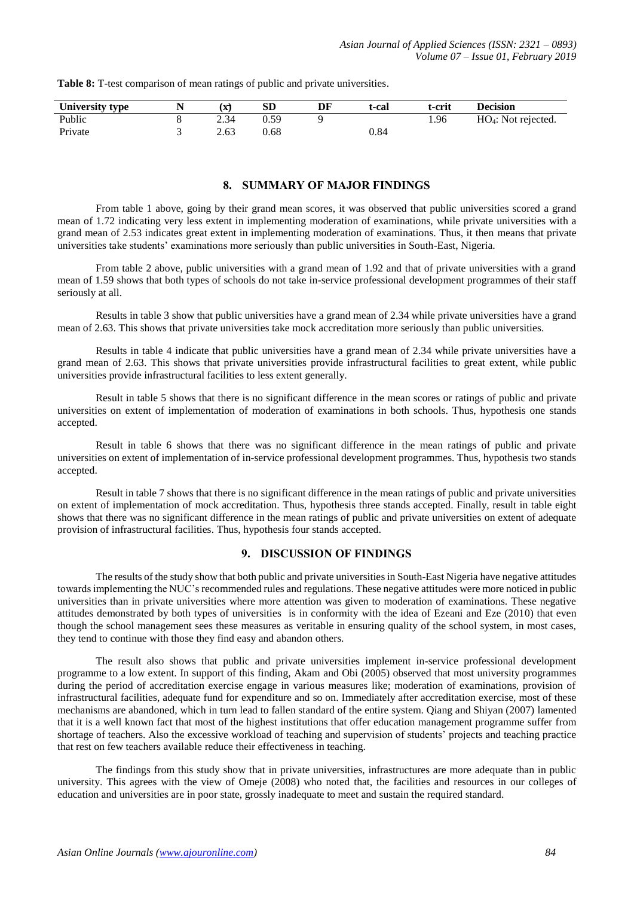|  |  | Table 8: T-test comparison of mean ratings of public and private universities. |  |
|--|--|--------------------------------------------------------------------------------|--|
|  |  |                                                                                |  |

| University type | $\boldsymbol{\Lambda}$ | SD   | DF | t-cal | t-crit | <b>Decision</b>        |
|-----------------|------------------------|------|----|-------|--------|------------------------|
| Public          | 2.34                   | 0.59 |    |       | 1.96   | $HO_4$ : Not rejected. |
| Private         | 2.63                   | 0.68 |    | 0.84  |        |                        |

### **8. SUMMARY OF MAJOR FINDINGS**

From table 1 above, going by their grand mean scores, it was observed that public universities scored a grand mean of 1.72 indicating very less extent in implementing moderation of examinations, while private universities with a grand mean of 2.53 indicates great extent in implementing moderation of examinations. Thus, it then means that private universities take students' examinations more seriously than public universities in South-East, Nigeria.

From table 2 above, public universities with a grand mean of 1.92 and that of private universities with a grand mean of 1.59 shows that both types of schools do not take in-service professional development programmes of their staff seriously at all.

Results in table 3 show that public universities have a grand mean of 2.34 while private universities have a grand mean of 2.63. This shows that private universities take mock accreditation more seriously than public universities.

Results in table 4 indicate that public universities have a grand mean of 2.34 while private universities have a grand mean of 2.63. This shows that private universities provide infrastructural facilities to great extent, while public universities provide infrastructural facilities to less extent generally.

Result in table 5 shows that there is no significant difference in the mean scores or ratings of public and private universities on extent of implementation of moderation of examinations in both schools. Thus, hypothesis one stands accepted.

Result in table 6 shows that there was no significant difference in the mean ratings of public and private universities on extent of implementation of in-service professional development programmes. Thus, hypothesis two stands accepted.

Result in table 7 shows that there is no significant difference in the mean ratings of public and private universities on extent of implementation of mock accreditation. Thus, hypothesis three stands accepted. Finally, result in table eight shows that there was no significant difference in the mean ratings of public and private universities on extent of adequate provision of infrastructural facilities. Thus, hypothesis four stands accepted.

#### **9. DISCUSSION OF FINDINGS**

The results of the study show that both public and private universities in South-East Nigeria have negative attitudes towards implementing the NUC's recommended rules and regulations. These negative attitudes were more noticed in public universities than in private universities where more attention was given to moderation of examinations. These negative attitudes demonstrated by both types of universities is in conformity with the idea of Ezeani and Eze (2010) that even though the school management sees these measures as veritable in ensuring quality of the school system, in most cases, they tend to continue with those they find easy and abandon others.

The result also shows that public and private universities implement in-service professional development programme to a low extent. In support of this finding, Akam and Obi (2005) observed that most university programmes during the period of accreditation exercise engage in various measures like; moderation of examinations, provision of infrastructural facilities, adequate fund for expenditure and so on. Immediately after accreditation exercise, most of these mechanisms are abandoned, which in turn lead to fallen standard of the entire system. Qiang and Shiyan (2007) lamented that it is a well known fact that most of the highest institutions that offer education management programme suffer from shortage of teachers. Also the excessive workload of teaching and supervision of students' projects and teaching practice that rest on few teachers available reduce their effectiveness in teaching.

The findings from this study show that in private universities, infrastructures are more adequate than in public university. This agrees with the view of Omeje (2008) who noted that, the facilities and resources in our colleges of education and universities are in poor state, grossly inadequate to meet and sustain the required standard.